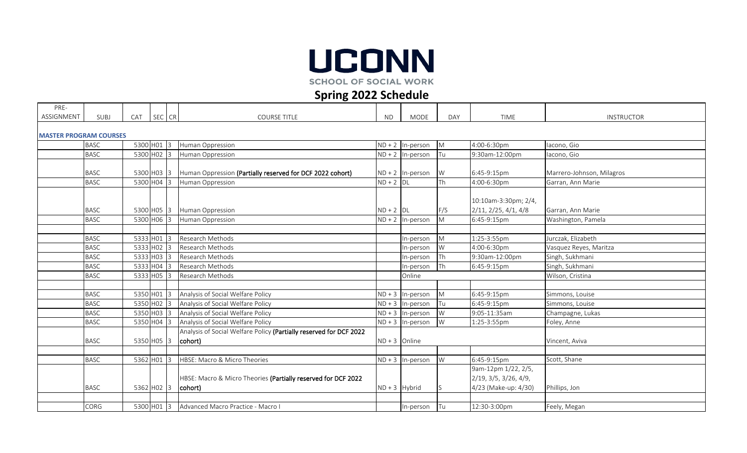

**SCHOOL OF SOCIAL WORK** 

## **Spring 2022 Schedule**

| PRE-       |                               |            |        |   |                                                                                     |                 |                    |           |                                                                      |                           |  |  |  |
|------------|-------------------------------|------------|--------|---|-------------------------------------------------------------------------------------|-----------------|--------------------|-----------|----------------------------------------------------------------------|---------------------------|--|--|--|
| ASSIGNMENT | SUBJ                          | <b>CAT</b> | SEC CR |   | <b>COURSE TITLE</b>                                                                 | ND.             | <b>MODE</b>        | DAY       | TIME                                                                 | <b>INSTRUCTOR</b>         |  |  |  |
|            | <b>MASTER PROGRAM COURSES</b> |            |        |   |                                                                                     |                 |                    |           |                                                                      |                           |  |  |  |
|            | <b>BASC</b>                   | 5300 H01 3 |        |   | Human Oppression                                                                    |                 | $ND + 2$ In-person | M         | 4:00-6:30pm                                                          | lacono, Gio               |  |  |  |
|            | <b>BASC</b>                   |            |        |   | 5300 H02 3 Human Oppression                                                         |                 | $ND + 2$ In-person | Tu        | 9:30am-12:00pm                                                       | lacono, Gio               |  |  |  |
|            | <b>BASC</b>                   |            |        |   | 5300 H03 3 Human Oppression (Partially reserved for DCF 2022 cohort)                |                 | $ND + 2$ In-person | W         | 6:45-9:15pm                                                          | Marrero-Johnson, Milagros |  |  |  |
|            | <b>BASC</b>                   | 5300 H04 3 |        |   | Human Oppression                                                                    | $ND + 2$ DL     |                    | <b>Th</b> | 4:00-6:30pm                                                          | Garran, Ann Marie         |  |  |  |
|            | <b>BASC</b>                   |            |        |   | 5300 H05 3 Human Oppression                                                         | $ND + 2$ DL     |                    | F/S       | 10:10am-3:30pm; 2/4,<br>2/11, 2/25, 4/1, 4/8                         | Garran, Ann Marie         |  |  |  |
|            | <b>BASC</b>                   | 5300 H06 3 |        |   | Human Oppression                                                                    |                 | $ND + 2$ In-person | M         | 6:45-9:15pm                                                          | Washington, Pamela        |  |  |  |
|            |                               |            |        |   |                                                                                     |                 |                    |           |                                                                      |                           |  |  |  |
|            | <b>BASC</b>                   | 5333 H01   |        | 3 | Research Methods                                                                    |                 | In-person          | M         | 1:25-3:55pm                                                          | Jurczak, Elizabeth        |  |  |  |
|            | <b>BASC</b>                   | 5333 H02   |        |   | Research Methods                                                                    |                 | In-person          | W         | 4:00-6:30pm                                                          | Vasquez Reyes, Maritza    |  |  |  |
|            | <b>BASC</b>                   | 5333 H03   |        |   | Research Methods                                                                    |                 | In-person          | Th        | 9:30am-12:00pm                                                       | Singh, Sukhmani           |  |  |  |
|            | <b>BASC</b>                   | 5333 H04   |        |   | Research Methods                                                                    |                 | In-person          | Th        | 6:45-9:15pm                                                          | Singh, Sukhmani           |  |  |  |
|            | <b>BASC</b>                   | 5333 H05   |        |   | Research Methods                                                                    |                 | Online             |           |                                                                      | Wilson, Cristina          |  |  |  |
|            |                               |            |        |   |                                                                                     |                 |                    |           |                                                                      |                           |  |  |  |
|            | <b>BASC</b>                   | 5350 HO1 3 |        |   | Analysis of Social Welfare Policy                                                   |                 | $ND + 3$ In-person | M         | 6:45-9:15pm                                                          | Simmons, Louise           |  |  |  |
|            | <b>BASC</b>                   |            |        |   | 5350 H02 3 Analysis of Social Welfare Policy                                        |                 | $ND + 3$ In-person | <b>Tu</b> | 6:45-9:15pm                                                          | Simmons, Louise           |  |  |  |
|            | <b>BASC</b>                   | 5350 H03 3 |        |   | Analysis of Social Welfare Policy                                                   |                 | $ND + 3$ In-person | W         | 9:05-11:35am                                                         | Champagne, Lukas          |  |  |  |
|            | <b>BASC</b>                   | 5350 H04 3 |        |   | Analysis of Social Welfare Policy                                                   |                 | $ND + 3$ In-person | W         | 1:25-3:55pm                                                          | Foley, Anne               |  |  |  |
|            | <b>BASC</b>                   | 5350 H05 3 |        |   | Analysis of Social Welfare Policy (Partially reserved for DCF 2022<br>(cohort)      | $ND + 3$ Online |                    |           |                                                                      | Vincent, Aviva            |  |  |  |
|            |                               |            |        |   |                                                                                     |                 |                    |           |                                                                      |                           |  |  |  |
|            | <b>BASC</b>                   | 5362 H01 3 |        |   | HBSE: Macro & Micro Theories                                                        |                 | $ND + 3$ In-person | W         | 6:45-9:15pm                                                          | Scott, Shane              |  |  |  |
|            | <b>BASC</b>                   |            |        |   | HBSE: Macro & Micro Theories (Partially reserved for DCF 2022<br>5362 H02 3 cohort) | $ND + 3$ Hybrid |                    |           | 9am-12pm 1/22, 2/5,<br>2/19, 3/5, 3/26, 4/9,<br>4/23 (Make-up: 4/30) | Phillips, Jon             |  |  |  |
|            |                               |            |        |   |                                                                                     |                 |                    |           |                                                                      |                           |  |  |  |
|            | CORG                          |            |        |   | 5300 H01 3 Advanced Macro Practice - Macro I                                        |                 | In-person          | Tu        | 12:30-3:00pm                                                         | Feely, Megan              |  |  |  |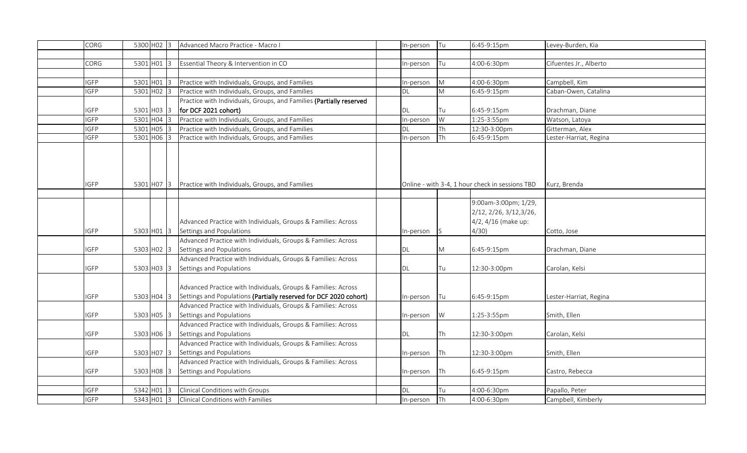| CORG                       | 5300 HO2 3   |         | Advanced Macro Practice - Macro I                                                                                                  | In-person | <b>Tu</b>   |             | 6:45-9:15pm                                     | Levey-Burden, Kia      |
|----------------------------|--------------|---------|------------------------------------------------------------------------------------------------------------------------------------|-----------|-------------|-------------|-------------------------------------------------|------------------------|
|                            |              |         |                                                                                                                                    |           |             |             |                                                 |                        |
| CORG                       | $5301$ HO1 3 |         | Essential Theory & Intervention in CO                                                                                              | n-person  |             | <b>I</b> Tu | 4:00-6:30pm                                     | Cifuentes Jr., Alberto |
|                            |              |         |                                                                                                                                    |           |             |             |                                                 |                        |
| <b>IGFP</b>                | $5301$ H01 3 |         | Practice with Individuals, Groups, and Families                                                                                    | In-person | M           |             | 4:00-6:30pm                                     | Campbell, Kim          |
| <b>IGFP</b>                | 5301 H02 3   |         | Practice with Individuals, Groups, and Families                                                                                    | DL        | M           |             | 6:45-9:15pm                                     | Caban-Owen, Catalina   |
|                            |              |         | Practice with Individuals, Groups, and Families (Partially reserved                                                                |           |             |             |                                                 |                        |
| IGFP                       | 5301 H03 3   |         | for DCF 2021 cohort)                                                                                                               | DL        |             | lTu.        | 6:45-9:15pm                                     | Drachman, Diane        |
| <b>IGFP</b>                | 5301         | $H04$ 3 | Practice with Individuals, Groups, and Families                                                                                    | In-person | W           |             | 1:25-3:55pm                                     | Watson, Latoya         |
| <b>IGFP</b>                | 5301 H05 3   |         | Practice with Individuals, Groups, and Families                                                                                    | DΙ        | <b>Th</b>   |             | 12:30-3:00pm                                    | Gitterman, Alex        |
| $\overline{\mathsf{IGFP}}$ | 5301 H06 3   |         | Practice with Individuals, Groups, and Families                                                                                    | In-person | Th          |             | 6:45-9:15pm                                     | Lester-Harriat, Regina |
| <b>IGFP</b>                |              |         | 5301 H07 3 Practice with Individuals, Groups, and Families                                                                         |           |             |             | Online - with 3-4, 1 hour check in sessions TBD | Kurz, Brenda           |
|                            |              |         |                                                                                                                                    |           |             |             | 9:00am-3:00pm; 1/29,                            |                        |
|                            |              |         |                                                                                                                                    |           |             |             | 2/12, 2/26, 3/12, 3/26,                         |                        |
|                            |              |         | Advanced Practice with Individuals, Groups & Families: Across                                                                      |           |             |             | 4/2, 4/16 (make up:                             |                        |
| <b>GFP</b>                 | 5303 H01 3   |         | Settings and Populations                                                                                                           | In-person | 1S          |             | 4/30                                            | Cotto, Jose            |
|                            |              |         | Advanced Practice with Individuals, Groups & Families: Across                                                                      |           |             |             |                                                 |                        |
| <b>IGFP</b>                | 5303 HO2 3   |         | Settings and Populations                                                                                                           | DL        | M           |             | 6:45-9:15pm                                     | Drachman, Diane        |
|                            |              |         | Advanced Practice with Individuals, Groups & Families: Across                                                                      |           |             |             |                                                 |                        |
| <b>IGFP</b>                | 5303 H03 3   |         | Settings and Populations                                                                                                           | DL        |             | Tu          | 12:30-3:00pm                                    | Carolan, Kelsi         |
| <b>IGFP</b>                | 5303 H04 3   |         | Advanced Practice with Individuals, Groups & Families: Across<br>Settings and Populations (Partially reserved for DCF 2020 cohort) | In-person | <b>Tu</b>   |             | 6:45-9:15pm                                     | Lester-Harriat, Regina |
|                            |              |         | Advanced Practice with Individuals, Groups & Families: Across                                                                      |           |             |             |                                                 |                        |
| <b>GFP</b>                 | 5303 H05 3   |         | Settings and Populations                                                                                                           | In-person | W           |             | 1:25-3:55pm                                     | Smith, Ellen           |
|                            |              |         | Advanced Practice with Individuals, Groups & Families: Across                                                                      |           |             |             |                                                 |                        |
| <b>IGFP</b>                | 5303 H06 3   |         | Settings and Populations                                                                                                           | DL        |             | <b>I</b> Th | 12:30-3:00pm                                    | Carolan, Kelsi         |
|                            |              |         | Advanced Practice with Individuals, Groups & Families: Across                                                                      |           |             |             |                                                 |                        |
| <b>GFP</b>                 | 5303 H07 3   |         | Settings and Populations                                                                                                           | In-person | <b>I</b> Th |             | 12:30-3:00pm                                    | Smith, Ellen           |
|                            |              |         | Advanced Practice with Individuals, Groups & Families: Across                                                                      |           |             |             |                                                 |                        |
| <b>IGFP</b>                | 5303 H08 3   |         | Settings and Populations                                                                                                           | In-person |             | lTh.        | 6:45-9:15pm                                     | Castro, Rebecca        |
|                            |              |         |                                                                                                                                    |           |             |             |                                                 |                        |
| <b>GFP</b>                 |              |         | 5342 H01 3 Clinical Conditions with Groups                                                                                         | DL        |             | Tu          | 4:00-6:30pm                                     | Papallo, Peter         |
| <b>IGFP</b>                |              |         | 5343 H01 3 Clinical Conditions with Families                                                                                       | In-person | Th          |             | 4:00-6:30pm                                     | Campbell, Kimberly     |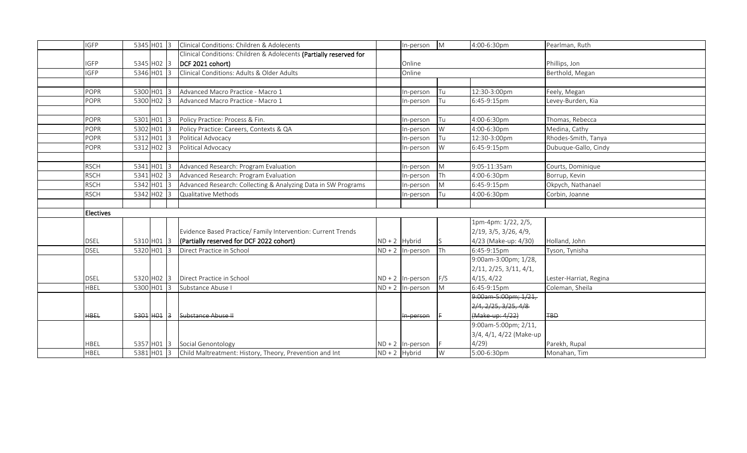| <b>IGFP</b> | 5345 H01 3     |  | Clinical Conditions: Children & Adolecents                                                          |          | In-person            | M           | 4:00-6:30pm             | Pearlman, Ruth         |
|-------------|----------------|--|-----------------------------------------------------------------------------------------------------|----------|----------------------|-------------|-------------------------|------------------------|
|             |                |  | Clinical Conditions: Children & Adolecents (Partially reserved for                                  |          |                      |             |                         |                        |
| <b>IGFP</b> | 5345 HO2 3     |  | DCF 2021 cohort)                                                                                    |          | Online               |             |                         | Phillips, Jon          |
| <b>IGFP</b> | 5346 H01 3     |  | Clinical Conditions: Adults & Older Adults                                                          |          | Online               |             |                         | Berthold, Megan        |
|             |                |  |                                                                                                     |          |                      |             |                         |                        |
| POPR        | 5300 H01 3     |  | Advanced Macro Practice - Macro 1                                                                   |          | In-person            | <b>I</b> Tu | 12:30-3:00pm            | Feely, Megan           |
| POPR        | 5300 H02 3     |  | Advanced Macro Practice - Macro 1                                                                   |          | In-person            | <b>Tu</b>   | 6:45-9:15pm             | Levey-Burden, Kia      |
|             |                |  |                                                                                                     |          |                      |             |                         |                        |
| <b>POPR</b> | 5301 H01 3     |  | Policy Practice: Process & Fin.                                                                     |          | In-person            | Tu          | 4:00-6:30pm             | Thomas, Rebecca        |
| POPR        | 5302 H01 3     |  | Policy Practice: Careers, Contexts & QA                                                             |          | n-person             | W           | 4:00-6:30pm             | Medina, Cathy          |
| POPR        | 5312 H01 3     |  | Political Advocacy                                                                                  |          | In-person            | Tu          | 12:30-3:00pm            | Rhodes-Smith, Tanya    |
| <b>POPR</b> | 5312 HO2 3     |  | Political Advocacy                                                                                  |          | In-person            | W           | 6:45-9:15pm             | Dubuque-Gallo, Cindy   |
|             |                |  |                                                                                                     |          |                      |             |                         |                        |
| <b>RSCH</b> | 5341 H01 3     |  | Advanced Research: Program Evaluation                                                               |          | In-person            | M           | 9:05-11:35am            | Courts, Dominique      |
| <b>RSCH</b> | 5341 H02 3     |  | Advanced Research: Program Evaluation                                                               |          | In-person            | Th          | 4:00-6:30pm             | Borrup, Kevin          |
| <b>RSCH</b> | 5342 H01 3     |  | Advanced Research: Collecting & Analyzing Data in SW Programs                                       |          | In-person            | M           | 6:45-9:15pm             | Okpych, Nathanael      |
| <b>RSCH</b> | 5342 HO2 3     |  | Qualitative Methods                                                                                 |          | In-person            | <b>Tu</b>   | 4:00-6:30pm             | Corbin, Joanne         |
|             |                |  |                                                                                                     |          |                      |             |                         |                        |
|             |                |  |                                                                                                     |          |                      |             |                         |                        |
| Electives   |                |  |                                                                                                     |          |                      |             |                         |                        |
|             |                |  |                                                                                                     |          |                      |             | 1pm-4pm: 1/22, 2/5,     |                        |
|             |                |  | Evidence Based Practice/ Family Intervention: Current Trends                                        |          |                      |             | 2/19, 3/5, 3/26, 4/9,   |                        |
| <b>DSEL</b> | 5310 HO1 3     |  | (Partially reserved for DCF 2022 cohort)                                                            |          | $ND + 2$ Hybrid      | IS.         | 4/23 (Make-up: 4/30)    | Holland, John          |
| <b>DSEL</b> | 5320 H01 3     |  | Direct Practice in School                                                                           | $ND + 2$ | In-person            | <b>ITh</b>  | 6:45-9:15pm             | Tyson, Tynisha         |
|             |                |  |                                                                                                     |          |                      |             | 9:00am-3:00pm; 1/28,    |                        |
|             |                |  |                                                                                                     |          |                      |             | 2/11, 2/25, 3/11, 4/1,  |                        |
| <b>DSEL</b> |                |  | 5320 H02 3 Direct Practice in School                                                                |          | $ND + 2$ In-person   | F/S         | 4/15, 4/22              | Lester-Harriat, Regina |
| HBEL        | 5300 H01 3     |  | Substance Abuse I                                                                                   | $ND + 2$ | In-person            | M           | 6:45-9:15pm             | Coleman, Sheila        |
|             |                |  |                                                                                                     |          |                      |             | 9:00am-5:00pm; 1/21,    |                        |
|             |                |  |                                                                                                     |          |                      |             | 2/4, 2/25, 3/25, 4/8    |                        |
| <b>HBEL</b> | $5301$ $H01$ 3 |  | Substance Abuse II                                                                                  |          | <del>In person</del> |             | (Make up: 4/22)         | <b>TBD</b>             |
|             |                |  |                                                                                                     |          |                      |             | 9:00am-5:00pm; 2/11,    |                        |
|             |                |  |                                                                                                     |          |                      |             | 3/4, 4/1, 4/22 (Make-up |                        |
| HBEL        |                |  | 5357 H01 3 Social Genontology<br>5381 H01 3 Child Maltreatment: History, Theory, Prevention and Int |          | $ND + 2$   In-person |             | 4/29                    | Parekh, Rupal          |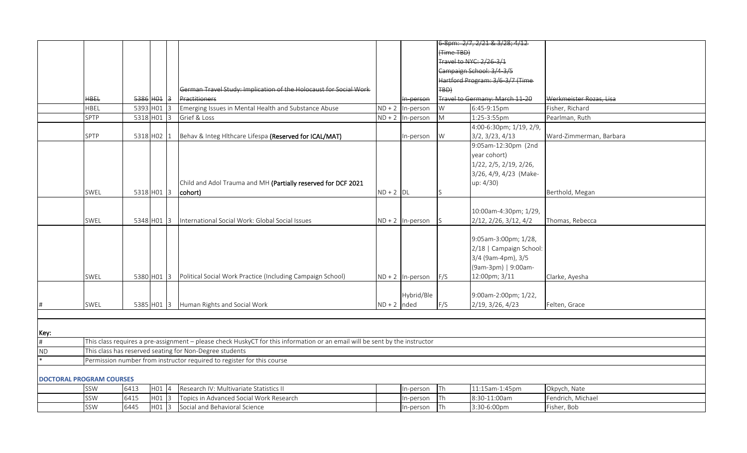|                                 |             |              |         |                |                                                                                                                             |               |                    |            | 6 8pm: 2/7, 2/21 & 3/28; 4/12    |                         |
|---------------------------------|-------------|--------------|---------|----------------|-----------------------------------------------------------------------------------------------------------------------------|---------------|--------------------|------------|----------------------------------|-------------------------|
|                                 |             |              |         |                |                                                                                                                             |               |                    | (Time TBD) |                                  |                         |
|                                 |             |              |         |                |                                                                                                                             |               |                    |            | Travel to NYC: 2/26 3/1          |                         |
|                                 |             |              |         |                |                                                                                                                             |               |                    |            | Campaign School: 3/4 3/5         |                         |
|                                 |             |              |         |                |                                                                                                                             |               |                    |            | Hartford Program: 3/6-3/7 (Time- |                         |
|                                 |             |              |         |                | German Travel Study: Implication of the Holocaust for Social Work                                                           |               |                    | TBD)       |                                  |                         |
|                                 | <b>HBEL</b> | $5386$ HO1 3 |         |                | Practitioners                                                                                                               |               | In-person          |            | Travel to Germany: March 11-20   | Werkmeister Rozas, Lisa |
|                                 | HBEL        | 5393 H01 3   |         |                | Emerging Issues in Mental Health and Substance Abuse                                                                        | $ND + 2$      | In-person          | W          | 6:45-9:15pm                      | Fisher, Richard         |
|                                 | SPTP        | 5318 H01     |         | $\overline{3}$ | Grief & Loss                                                                                                                | $ND + 2$      | In-person          | M          | 1:25-3:55pm                      | Pearlman, Ruth          |
|                                 |             |              |         |                |                                                                                                                             |               |                    |            | 4:00-6:30pm; 1/19, 2/9,          |                         |
|                                 | <b>SPTP</b> | 5318 H02     |         |                | Behav & Integ Hithcare Lifespa (Reserved for ICAL/MAT)                                                                      |               | In-person          | W          | 3/2, 3/23, 4/13                  | Ward-Zimmerman, Barbara |
|                                 |             |              |         |                |                                                                                                                             |               |                    |            | 9:05am-12:30pm (2nd              |                         |
|                                 |             |              |         |                |                                                                                                                             |               |                    |            | year cohort)                     |                         |
|                                 |             |              |         |                |                                                                                                                             |               |                    |            | 1/22, 2/5, 2/19, 2/26,           |                         |
|                                 |             |              |         |                |                                                                                                                             |               |                    |            | 3/26, 4/9, 4/23 (Make-           |                         |
|                                 |             |              |         |                | Child and Adol Trauma and MH (Partially reserved for DCF 2021                                                               |               |                    |            | up: 4/30)                        |                         |
|                                 | SWEL        | 5318 H01 3   |         |                | cohort)                                                                                                                     | $ND + 2$ DL   |                    |            |                                  | Berthold, Megan         |
|                                 |             |              |         |                |                                                                                                                             |               |                    |            |                                  |                         |
|                                 |             |              |         |                |                                                                                                                             |               |                    |            | 10:00am-4:30pm; 1/29,            |                         |
|                                 |             |              |         |                |                                                                                                                             |               |                    |            |                                  |                         |
|                                 | SWEL        | 5348 H01 3   |         |                | International Social Work: Global Social Issues                                                                             |               | $ND + 2$ In-person |            | 2/12, 2/26, 3/12, 4/2            | Thomas, Rebecca         |
|                                 |             |              |         |                |                                                                                                                             |               |                    |            |                                  |                         |
|                                 |             |              |         |                |                                                                                                                             |               |                    |            | 9:05am-3:00pm; 1/28,             |                         |
|                                 |             |              |         |                |                                                                                                                             |               |                    |            | 2/18   Campaign School:          |                         |
|                                 |             |              |         |                |                                                                                                                             |               |                    |            | 3/4 (9am-4pm), 3/5               |                         |
|                                 |             |              |         |                |                                                                                                                             |               |                    |            | (9am-3pm)   9:00am-              |                         |
|                                 | SWEL        | 5380 H01 3   |         |                | Political Social Work Practice (Including Campaign School)                                                                  |               | $ND + 2$ In-person | F/S        | 12:00pm; 3/11                    | Clarke, Ayesha          |
|                                 |             |              |         |                |                                                                                                                             |               |                    |            |                                  |                         |
|                                 |             |              |         |                |                                                                                                                             |               | Hybrid/Ble         |            | 9:00am-2:00pm; 1/22,             |                         |
|                                 | SWEL        | 5385 H01 3   |         |                | Human Rights and Social Work                                                                                                | $ND + 2$ nded |                    | F/S        | 2/19, 3/26, 4/23                 | Felten, Grace           |
|                                 |             |              |         |                |                                                                                                                             |               |                    |            |                                  |                         |
|                                 |             |              |         |                |                                                                                                                             |               |                    |            |                                  |                         |
| Key:                            |             |              |         |                |                                                                                                                             |               |                    |            |                                  |                         |
|                                 |             |              |         |                | This class requires a pre-assignment - please check HuskyCT for this information or an email will be sent by the instructor |               |                    |            |                                  |                         |
| <b>ND</b>                       |             |              |         |                | This class has reserved seating for Non-Degree students                                                                     |               |                    |            |                                  |                         |
|                                 |             |              |         |                | Permission number from instructor required to register for this course                                                      |               |                    |            |                                  |                         |
|                                 |             |              |         |                |                                                                                                                             |               |                    |            |                                  |                         |
| <b>DOCTORAL PROGRAM COURSES</b> |             |              |         |                |                                                                                                                             |               |                    |            |                                  |                         |
|                                 | SSW         | 6413         | H01     |                | Research IV: Multivariate Statistics II                                                                                     |               | In-person          | Th         | 11:15am-1:45pm                   | Okpych, Nate            |
|                                 | SSW         | 6415         | H01     | 13             | Topics in Advanced Social Work Research                                                                                     |               | In-person          | Th         | 8:30-11:00am                     | Fendrich, Michael       |
|                                 | SSW         | 6445         | $H01$ 3 |                | Social and Behavioral Science                                                                                               |               | In-person          | Th         | 3:30-6:00pm                      | Fisher, Bob             |